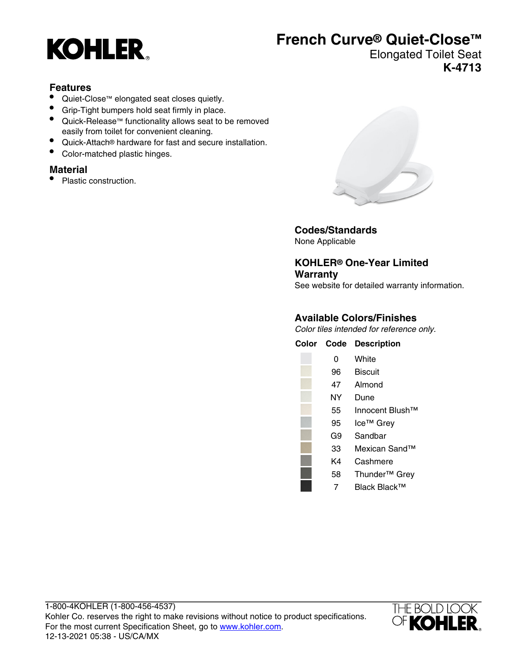## **KOHLER**

## **French Curve® Quiet-Close™**

Elongated Toilet Seat **K-4713**

#### **Features**

- Quiet-Close™ elongated seat closes quietly.
- Grip-Tight bumpers hold seat firmly in place.
- Quick-Release™ functionality allows seat to be removed easily from toilet for convenient cleaning.
- Quick-Attach® hardware for fast and secure installation.
- Color-matched plastic hinges.

#### **Material**

• Plastic construction.



**Codes/Standards** None Applicable

**KOHLER® One-Year Limited Warranty** See website for detailed warranty information.

#### **Available Colors/Finishes**

Color tiles intended for reference only.

| Color | Code | <b>Description</b>          |
|-------|------|-----------------------------|
|       | 0    | White                       |
|       | 96   | <b>Biscuit</b>              |
|       | 47   | Almond                      |
|       | NΥ   | Dune                        |
|       | 55   | Innocent Blush <sup>™</sup> |
|       | 95   | Ice <sup>™</sup> Grey       |
|       | G9   | Sandbar                     |
|       | 33   | Mexican Sand™               |
|       | K4   | Cashmere                    |
|       | 58   | Thunder <sup>™</sup> Grey   |
|       |      |                             |

7 Black Black™